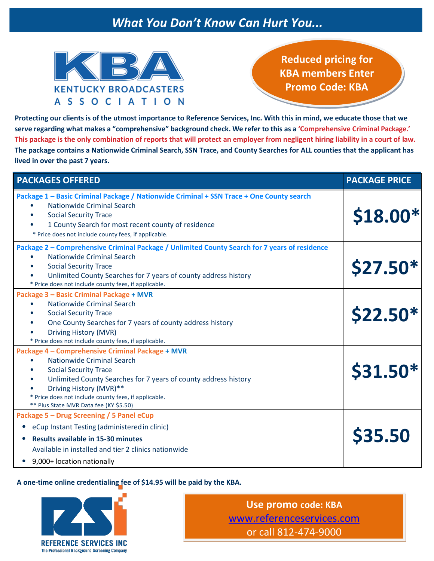## *What You Don't Know Can Hurt You...*



**Reduced pricing for KBA members Enter Promo Code: KBA**

**Protecting our clients is of the utmost importance to Reference Services, Inc. With this in mind, we educate those that we**  serve regarding what makes a "comprehensive" background check. We refer to this as a 'Comprehensive Criminal Package.' **This package is the only combination of reports that will protect an employer from negligent hiring liability in a court of law. The package contains a Nationwide Criminal Search, SSN Trace, and County Searches for ALL counties that the applicant has lived in over the past 7 years.**

| <b>PACKAGES OFFERED</b>                                                                                                                                                                                                                                                                                                                               | <b>PACKAGE PRICE</b> |
|-------------------------------------------------------------------------------------------------------------------------------------------------------------------------------------------------------------------------------------------------------------------------------------------------------------------------------------------------------|----------------------|
| Package 1 - Basic Criminal Package / Nationwide Criminal + SSN Trace + One County search<br>Nationwide Criminal Search<br>$\bullet$<br><b>Social Security Trace</b><br>$\bullet$<br>1 County Search for most recent county of residence<br>* Price does not include county fees, if applicable.                                                       | \$18.00*             |
| Package 2 - Comprehensive Criminal Package / Unlimited County Search for 7 years of residence<br><b>Nationwide Criminal Search</b><br><b>Social Security Trace</b><br>$\bullet$<br>Unlimited County Searches for 7 years of county address history<br>* Price does not include county fees, if applicable.                                            | \$27.50*             |
| Package 3 - Basic Criminal Package + MVR<br>Nationwide Criminal Search<br><b>Social Security Trace</b><br>$\bullet$<br>One County Searches for 7 years of county address history<br>$\bullet$<br>Driving History (MVR)<br>* Price does not include county fees, if applicable.                                                                        | <b>\$22.50*</b>      |
| Package 4 - Comprehensive Criminal Package + MVR<br>Nationwide Criminal Search<br>$\bullet$<br><b>Social Security Trace</b><br>$\bullet$<br>Unlimited County Searches for 7 years of county address history<br>$\bullet$<br>Driving History (MVR)**<br>* Price does not include county fees, if applicable.<br>** Plus State MVR Data fee (KY \$5.50) | \$31.50*             |
| Package 5 - Drug Screening / 5 Panel eCup<br>eCup Instant Testing (administered in clinic)<br><b>Results available in 15-30 minutes</b><br>Available in installed and tier 2 clinics nationwide<br>9,000+ location nationally                                                                                                                         | \$35.50              |

### **A one-time online credentialing fee of \$14.95 will be paid by the KBA.**



**Use promo code: KBA** [www.referenceservices.com](http://www.referenceservices.com/) or call 812-474-9000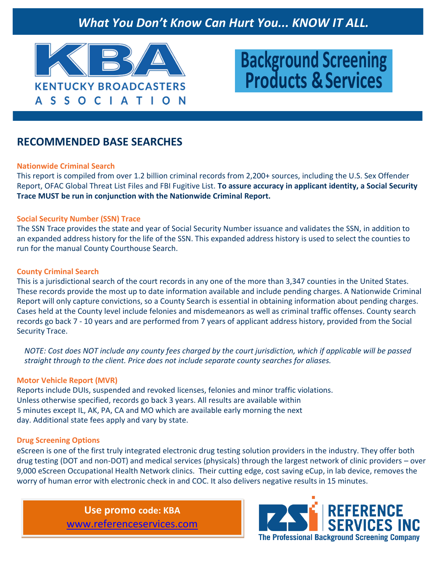## *What You Don't Know Can Hurt You... KNOW IT ALL.*



# **Background Screening Products &Services**

### **RECOMMENDED BASE SEARCHES**

### **Nationwide Criminal Search**

This report is compiled from over 1.2 billion criminal records from 2,200+ sources, including the U.S. Sex Offender Report, OFAC Global Threat List Files and FBI Fugitive List. **To assure accuracy in applicant identity, a Social Security Trace MUST be run in conjunction with the Nationwide Criminal Report.**

### **Social Security Number (SSN) Trace**

The SSN Trace provides the state and year of Social Security Number issuance and validates the SSN, in addition to an expanded address history for the life of the SSN. This expanded address history is used to select the counties to run for the manual County Courthouse Search.

### **County Criminal Search**

This is a jurisdictional search of the court records in any one of the more than 3,347 counties in the United States. These records provide the most up to date information available and include pending charges. A Nationwide Criminal Report will only capture convictions, so a County Search is essential in obtaining information about pending charges. Cases held at the County level include felonies and misdemeanors as well as criminal traffic offenses. County search records go back 7 - 10 years and are performed from 7 years of applicant address history, provided from the Social Security Trace.

*NOTE: Cost does NOT include any county fees charged by the court jurisdiction, which if applicable will be passed straight through to the client. Price does not include separate county searches for aliases.*

### **Motor Vehicle Report (MVR)**

Reports include DUIs, suspended and revoked licenses, felonies and minor traffic violations. Unless otherwise specified, records go back 3 years. All results are available within 5 minutes except IL, AK, PA, CA and MO which are available early morning the next day. Additional state fees apply and vary by state.

### **Drug Screening Options**

eScreen is one of the first truly integrated electronic drug testing solution providers in the industry. They offer both drug testing (DOT and non-DOT) and medical services (physicals) through the largest network of clinic providers – over 9,000 eScreen Occupational Health Network clinics. Their cutting edge, cost saving eCup, in lab device, removes the worry of human error with electronic check in and COC. It also delivers negative results in 15 minutes.

> **Use promo code: KBA** [www.referenceservices.com](http://www.referenceservices.com/)

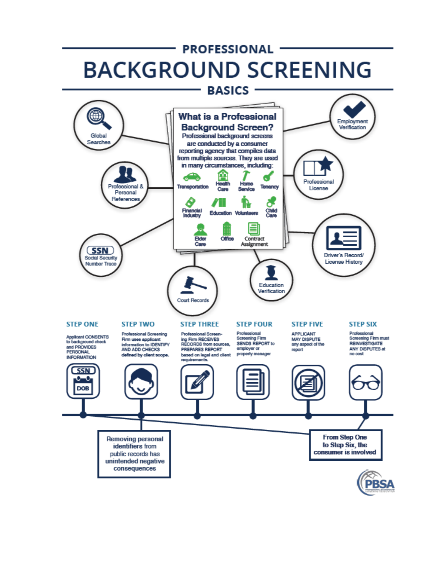## **PROFESSIONAL -BACKGROUND SCREENING**

#### **BASICS** ⊕ What is a Professional Employment **Background Screen?** Verification Global Professional background screens Searches are conducted by a consumer reporting agency that compiles data from multiple sources. They are used in many circumstances, including: ☎ Professional **Health** Home rofessional & **Transportation** Tenancy **Care** Service License Personal References 0 ā Financial<br>Industry Child<br>Care **Education Volunteers** ≡